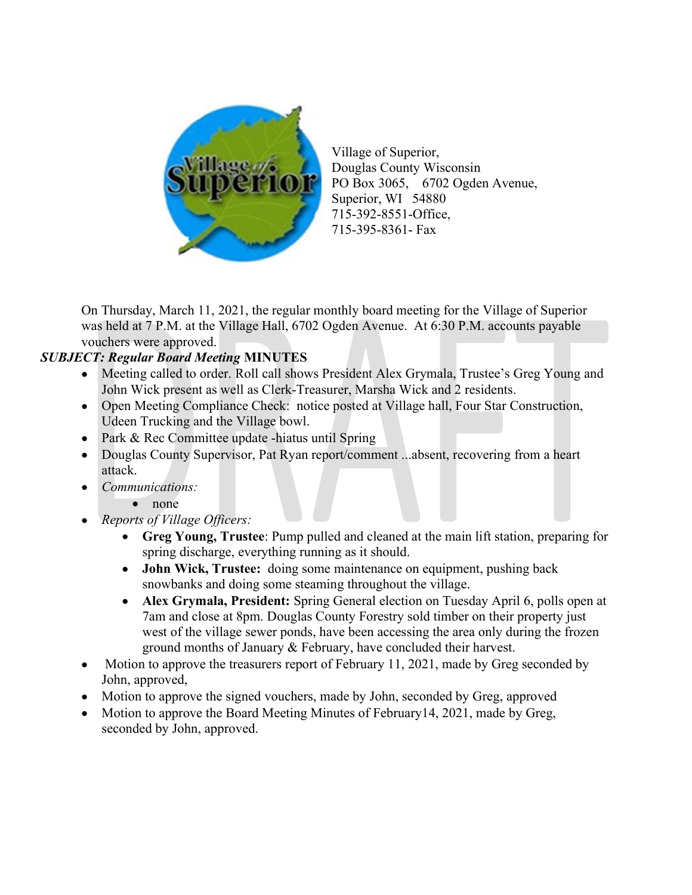

Village of Superior, Douglas County Wisconsin PO Box 3065, 6702 Ogden Avenue, Superior, WI 54880 715-392-8551-Office, 715-395-8361- Fax

On Thursday, March 11, 2021, the regular monthly board meeting for the Village of Superior was held at 7 P.M. at the Village Hall, 6702 Ogden Avenue. At 6:30 P.M. accounts payable vouchers were approved.

## SUBJECT: Regular Board Meeting MINUTES

- Meeting called to order. Roll call shows President Alex Grymala, Trustee's Greg Young and John Wick present as well as Clerk-Treasurer, Marsha Wick and 2 residents.
- Open Meeting Compliance Check: notice posted at Village hall, Four Star Construction, Udeen Trucking and the Village bowl.
- Park & Rec Committee update -hiatus until Spring
- Douglas County Supervisor, Pat Ryan report/comment ...absent, recovering from a heart attack.
- Communications:
	- none
- Reports of Village Officers:
	- Greg Young, Trustee: Pump pulled and cleaned at the main lift station, preparing for spring discharge, everything running as it should.
	- John Wick, Trustee: doing some maintenance on equipment, pushing back snowbanks and doing some steaming throughout the village.
	- Alex Grymala, President: Spring General election on Tuesday April 6, polls open at 7am and close at 8pm. Douglas County Forestry sold timber on their property just west of the village sewer ponds, have been accessing the area only during the frozen ground months of January & February, have concluded their harvest.
- Motion to approve the treasurers report of February 11, 2021, made by Greg seconded by John, approved,
- Motion to approve the signed vouchers, made by John, seconded by Greg, approved
- Motion to approve the Board Meeting Minutes of February14, 2021, made by Greg, seconded by John, approved.